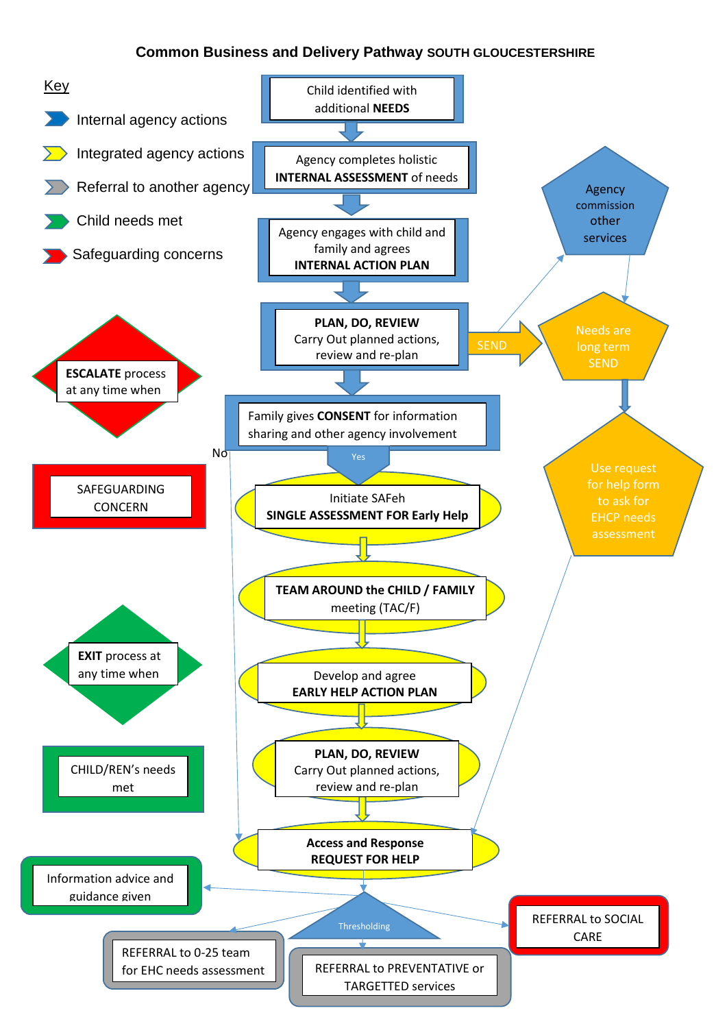# **Common Business and Delivery Pathway SOUTH GLOUCESTERSHIRE**